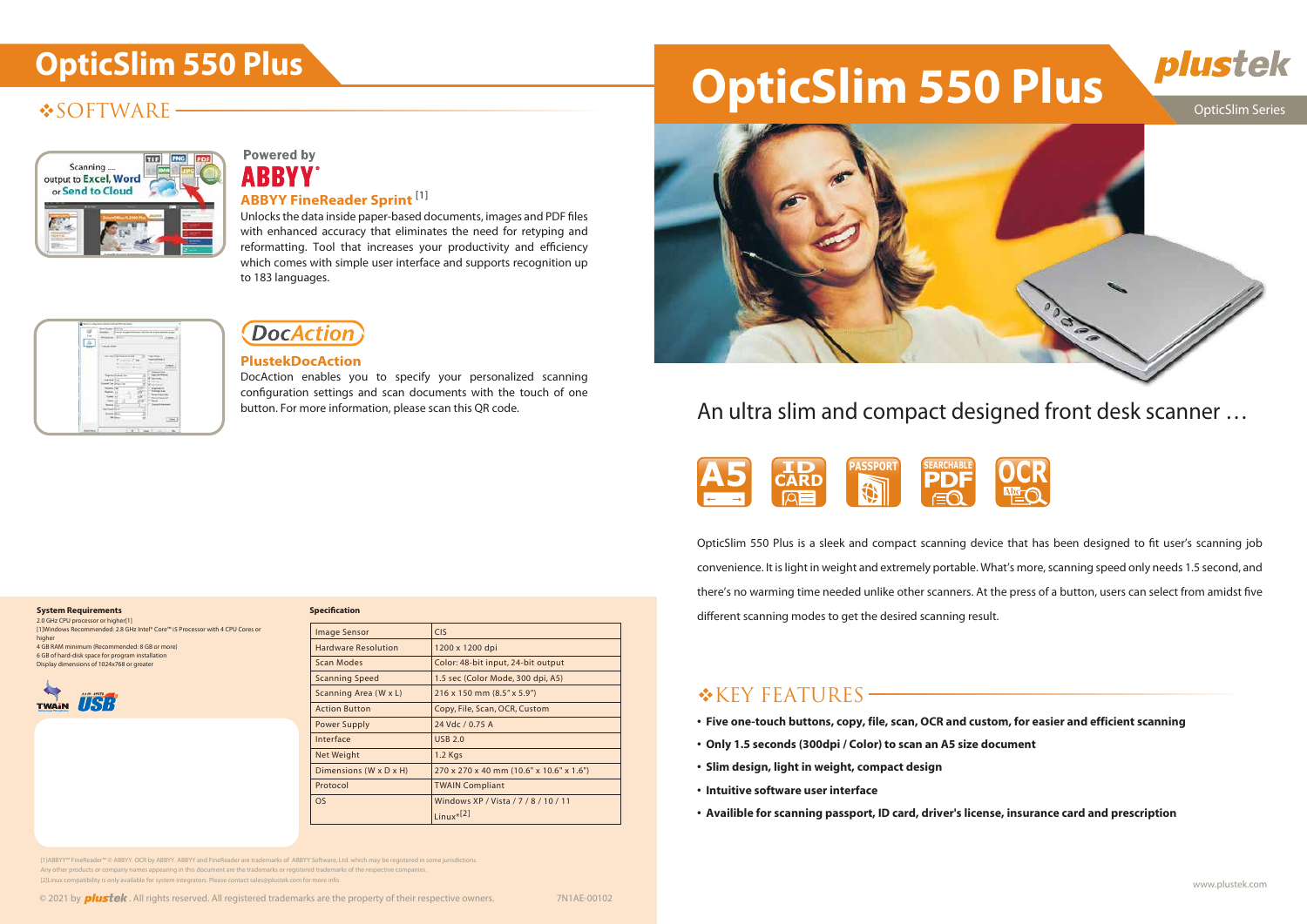## **SOFTWARE**



## **Powered by ABBYY**

# **OpticSlim 550 Plus OpticSlim 550 Plus**



## button. For more information, please scan this QR code. An ultra slim and compact designed front desk scanner ...

#### OpticSlim Series



Unlocks the data inside paper-based documents, images and PDF files with enhanced accuracy that eliminates the need for retyping and reformatting. Tool that increases your productivity and efficiency which comes with simple user interface and supports recognition up to 183 languages.

|  | <b>Auction Street</b>                                                                                    |
|--|----------------------------------------------------------------------------------------------------------|
|  | House, 111<br><b>TAXABLE FIRMS</b>                                                                       |
|  | $\approx$ to the probability $\alpha$<br><b>CONTRACTOR</b><br><b>Harrison Robert E</b><br><b>Service</b> |
|  | Networking to 1<br><b>International</b>                                                                  |
|  | and him Drawin's<br>$m = 74$<br><b>NAMES</b><br><b>KASNESS</b>                                           |
|  | $-11$<br><b>Treater's draws</b><br><b>Bank (C)</b>                                                       |
|  | <b>COMMENT</b><br><b>Brakers (Blue</b> )<br>$-10$<br><b>Time</b>                                         |
|  |                                                                                                          |

## **DocAction**

DocAction enables you to specify your personalized scanning configuration settings and scan documents with the touch of one

- **Five one-touch buttons, copy, file, scan, OCR and custom, for easier and efficient scanning**
- **Only 1.5 seconds (300dpi / Color) to scan an A5 size document**
- **Slim design, light in weight, compact design**
- **Intuitive software user interface**
- **Availible for scanning passport, ID card, driver's license, insurance card and prescription**

## **ABBYY FineReader Sprint** [1]

### **PlustekDocAction**

#### **System Requirements**

2.0 GHz CPU processor or higher[1] [1]Windows Recommended: 2.8 GHz Intel® Core™ i5 Processor with 4 CPU Cores or higher 4 GB RAM minimum (Recommended: 8 GB or more) 6 GB of hard-disk space for program installation



Display dimensions of 1024x768 or greater

| <b>Specification</b>       |                                          |  |
|----------------------------|------------------------------------------|--|
| <b>Image Sensor</b>        | <b>CIS</b>                               |  |
| <b>Hardware Resolution</b> | 1200 x 1200 dpi                          |  |
| Scan Modes                 | Color: 48-bit input, 24-bit output       |  |
| <b>Scanning Speed</b>      | 1.5 sec (Color Mode, 300 dpi, A5)        |  |
| Scanning Area (W x L)      | $216 \times 150$ mm $(8.5" \times 5.9")$ |  |
| <b>Action Button</b>       | Copy, File, Scan, OCR, Custom            |  |
| Power Supply               | 24 Vdc / 0.75 A                          |  |
| Interface                  | <b>USB 2.0</b>                           |  |
| Net Weight                 | 1.2 Kgs                                  |  |
| Dimensions (W x D x H)     | 270 x 270 x 40 mm (10.6" x 10.6" x 1.6") |  |
| Protocol                   | <b>TWAIN Compliant</b>                   |  |
| <b>OS</b>                  | Windows XP / Vista / 7 / 8 / 10 / 11     |  |
|                            | $limux * [2]$                            |  |

## **\*KEY FEATURES**



OpticSlim 550 Plus is a sleek and compact scanning device that has been designed to fit user's scanning job convenience. It is light in weight and extremely portable. What's more, scanning speed only needs 1.5 second, and there's no warming time needed unlike other scanners. At the press of a button, users can select from amidst five different scanning modes to get the desired scanning result.

[1]ABBYY™ FineReader™ © ABBYY. OCR by ABBYY. ABBYY and FineReader are trademarks of ABBYY Software, Ltd. which may be registered in some jurisdictions. Any other products or company names appearing in this document are the trademarks or registered trademarks of the respective companies. [2]Linux compatibility is only available for system integrators. Please contact sales@plustek.com for more info.